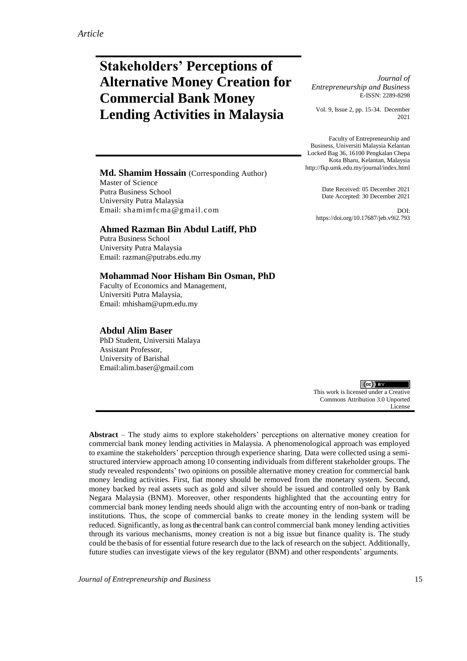# **Stakeholders' Perceptions of Alternative Money Creation for Commercial Bank Money Lending Activities in Malaysia**

*Journal of Entrepreneurship and Business* E-ISSN: 2289-8298

Vol. 9, Issue 2, pp. 15-34. December 2021

Faculty of Entrepreneurship and Business, Universiti Malaysia Kelantan Locked Bag 36, 16100 Pengkalan Chepa Kota Bharu, Kelantan, Malaysia http://fkp.umk.edu.my/journal/index.html

#### **Md. Shamim Hossain** (Corresponding Author) Master of Science

Putra Business School University Putra Malaysia Email: shamimfcma@gmail.com

#### **Ahmed Razman Bin Abdul Latiff, PhD**

Putra Business School University Putra Malaysia [Email: razman@putrabs.edu.my](mailto:Email:%20razman@putrabs.edu.my)

#### **Mohammad Noor Hisham Bin Osman, PhD**

Faculty of Economics and Management, Universiti Putra Malaysia, [Email: mhisham@upm.edu.my](mailto:Email:%20mhisham@upm.edu.my)

#### **Abdul Alim Baser**

PhD Student, Universiti Malaya Assistant Professor, University of Barishal Email[:alim.baser@gmail.com](mailto:alim.baser@gmail.com)

Date Received: 05 December 2021 Date Accepted: 30 December 2021

DOI: https://doi.org/10.17687/jeb.v9i2.793

 $(cc)$  BY This work is licensed under a Creative Commons Attribution 3.0 Unported License

**Abstract** – The study aims to explore stakeholders' perceptions on alternative money creation for commercial bank money lending activities in Malaysia. A phenomenological approach was employed to examine the stakeholders' perception through experience sharing. Data were collected using a semistructured interview approach among 10 consenting individuals from different stakeholder groups. The study revealed respondents' two opinions on possible alternative money creation for commercial bank money lending activities. First, fiat money should be removed from the monetary system. Second, money backed by real assets such as gold and silver should be issued and controlled only by Bank Negara Malaysia (BNM). Moreover, other respondents highlighted that the accounting entry for commercial bank money lending needs should align with the accounting entry of non-bank or trading institutions. Thus, the scope of commercial banks to create money in the lending system will be reduced. Significantly, aslong asthe central bank can control commercial bank money lending activities through its various mechanisms, money creation is not a big issue but finance quality is. The study could be thebasis of for essential future research due to the lack of research on the subject. Additionally, future studies can investigate views of the key regulator (BNM) and otherrespondents' arguments.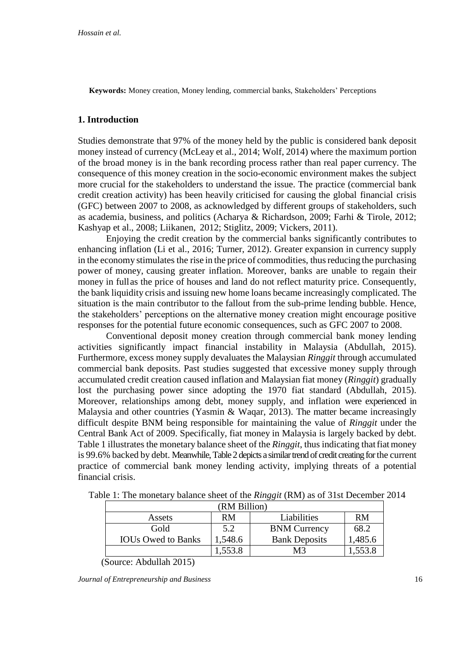**Keywords:** Money creation, Money lending, commercial banks, Stakeholders' Perceptions

# **1. Introduction**

Studies demonstrate that 97% of the money held by the public is considered bank deposit money instead of currency (McLeay et al., 2014; Wolf, 2014) where the maximum portion of the broad money is in the bank recording process rather than real paper currency. The consequence of this money creation in the socio-economic environment makes the subject more crucial for the stakeholders to understand the issue. The practice (commercial bank credit creation activity) has been heavily criticised for causing the global financial crisis (GFC) between 2007 to 2008, as acknowledged by different groups of stakeholders, such as academia, business, and politics (Acharya & Richardson, 2009; Farhi & Tirole, 2012; Kashyap et al., 2008; Liikanen, 2012; Stiglitz, 2009; Vickers, 2011).

Enjoying the credit creation by the commercial banks significantly contributes to enhancing inflation (Li et al., 2016; Turner, 2012). Greater expansion in currency supply in the economy stimulates the rise in the price of commodities, thus reducing the purchasing power of money, causing greater inflation. Moreover, banks are unable to regain their money in fullas the price of houses and land do not reflect maturity price. Consequently, the bank liquidity crisis and issuing new home loans became increasingly complicated. The situation is the main contributor to the fallout from the sub-prime lending bubble. Hence, the stakeholders' perceptions on the alternative money creation might encourage positive responses for the potential future economic consequences, such as GFC 2007 to 2008.

Conventional deposit money creation through commercial bank money lending activities significantly impact financial instability in Malaysia (Abdullah, 2015). Furthermore, excess money supply devaluates the Malaysian *Ringgit* through accumulated commercial bank deposits. Past studies suggested that excessive money supply through accumulated credit creation caused inflation and Malaysian fiat money (*Ringgit*) gradually lost the purchasing power since adopting the 1970 fiat standard (Abdullah, 2015). Moreover, relationships among debt, money supply, and inflation were experienced in Malaysia and other countries (Yasmin & Waqar, 2013). The matter became increasingly difficult despite BNM being responsible for maintaining the value of *Ringgit* under the Central Bank Act of 2009. Specifically, fiat money in Malaysia is largely backed by debt. Table 1 illustrates the monetary balance sheet of the *Ringgit*, thus indicating that fiat money is 99.6% backed by debt. Meanwhile, Table 2 depicts a similar trend of credit creating for the current practice of commercial bank money lending activity, implying threats of a potential financial crisis.

| (RM Billion)              |         |                      |         |
|---------------------------|---------|----------------------|---------|
| Assets                    | RM      | Liabilities          | RM      |
| Gold                      | 5.2     | <b>BNM Currency</b>  | 68.2    |
| <b>IOUs Owed to Banks</b> | 1,548.6 | <b>Bank Deposits</b> | 1,485.6 |
|                           | 1,553.8 | M3                   | 1,553.8 |

Table 1: The monetary balance sheet of the *Ringgit* (RM) as of 31st December 2014

(Source: Abdullah 2015)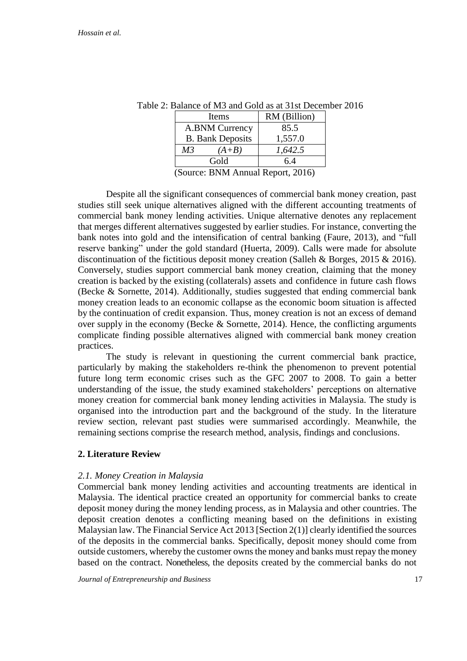| Items                   |         | RM (Billion) |
|-------------------------|---------|--------------|
| A.BNM Currency          |         | 85.5         |
| <b>B.</b> Bank Deposits |         | 1,557.0      |
| M <sub>3</sub>          | $(A+B)$ | 1,642.5      |
|                         | Gold    | 6.4          |
| $\sim$                  |         | $\sim$       |

Table 2: Balance of M3 and Gold as at 31st December 2016

(Source: BNM Annual Report, 2016)

Despite all the significant consequences of commercial bank money creation, past studies still seek unique alternatives aligned with the different accounting treatments of commercial bank money lending activities. Unique alternative denotes any replacement that merges different alternatives suggested by earlier studies. For instance, converting the bank notes into gold and the intensification of central banking (Faure, 2013), and "full reserve banking" under the gold standard (Huerta, 2009). Calls were made for absolute discontinuation of the fictitious deposit money creation (Salleh & Borges, 2015 & 2016). Conversely, studies support commercial bank money creation, claiming that the money creation is backed by the existing (collaterals) assets and confidence in future cash flows (Becke & Sornette, 2014). Additionally, studies suggested that ending commercial bank money creation leads to an economic collapse as the economic boom situation is affected by the continuation of credit expansion. Thus, money creation is not an excess of demand over supply in the economy (Becke & Sornette, 2014). Hence, the conflicting arguments complicate finding possible alternatives aligned with commercial bank money creation practices.

The study is relevant in questioning the current commercial bank practice, particularly by making the stakeholders re-think the phenomenon to prevent potential future long term economic crises such as the GFC 2007 to 2008. To gain a better understanding of the issue, the study examined stakeholders' perceptions on alternative money creation for commercial bank money lending activities in Malaysia. The study is organised into the introduction part and the background of the study. In the literature review section, relevant past studies were summarised accordingly. Meanwhile, the remaining sections comprise the research method, analysis, findings and conclusions.

## **2. Literature Review**

## *2.1. Money Creation in Malaysia*

Commercial bank money lending activities and accounting treatments are identical in Malaysia. The identical practice created an opportunity for commercial banks to create deposit money during the money lending process, as in Malaysia and other countries. The deposit creation denotes a conflicting meaning based on the definitions in existing Malaysian law. The Financial Service Act 2013 [Section 2(1)] clearly identified the sources of the deposits in the commercial banks. Specifically, deposit money should come from outside customers, whereby the customer owns the money and banks must repay the money based on the contract. Nonetheless, the deposits created by the commercial banks do not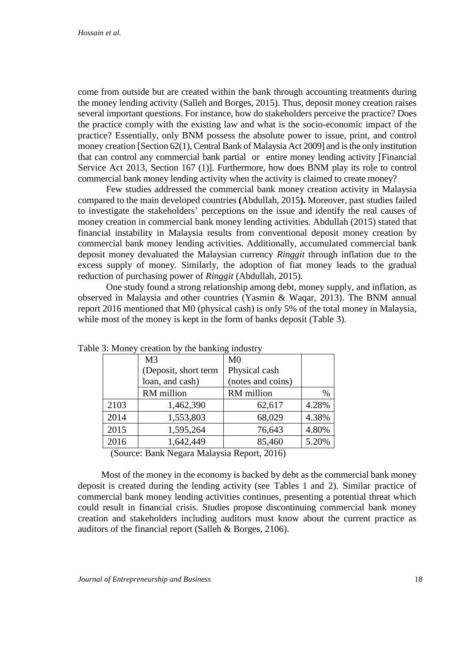come from outside but are created within the bank through accounting treatments during the money lending activity (Salleh and Borges, 2015). Thus, deposit money creation raises several important questions. For instance, how do stakeholders perceive the practice? Does the practice comply with the existing law and what is the socio-economic impact of the practice? Essentially, only BNM possess the absolute power to issue, print, and control money creation [Section 62(1), Central Bank of Malaysia Act 2009] and is the only institution that can control any commercial bank partial or entire money lending activity [Financial Service Act 2013, Section 167 (1)]. Furthermore, how does BNM play its role to control commercial bank money lending activity when the activity is claimed to create money?

Few studies addressed the commercial bank money creation activity in Malaysia compared to the main developed countries **(**Abdullah, 2015**).** Moreover, past studies failed to investigate the stakeholders' perceptions on the issue and identify the real causes of money creation in commercial bank money lending activities. Abdullah (2015) stated that financial instability in Malaysia results from conventional deposit money creation by commercial bank money lending activities. Additionally, accumulated commercial bank deposit money devaluated the Malaysian currency *Ringgit* through inflation due to the excess supply of money. Similarly, the adoption of fiat money leads to the gradual reduction of purchasing power of *Ringgit* (Abdullah, 2015).

One study found a strong relationship among debt, money supply, and inflation, as observed in Malaysia and other countries (Yasmin & Waqar, 2013). The BNM annual report 2016 mentioned that M0 (physical cash) is only 5% of the total money in Malaysia, while most of the money is kept in the form of banks deposit (Table 3).

| $\sigma$ . Money creation by the banking muusti $\gamma$ |                      |                   |       |
|----------------------------------------------------------|----------------------|-------------------|-------|
| M <sub>3</sub>                                           |                      | M <sub>0</sub>    |       |
|                                                          | (Deposit, short term | Physical cash     |       |
|                                                          | loan, and cash)      | (notes and coins) |       |
|                                                          | RM million           | RM million        | $\%$  |
| 2103                                                     | 1,462,390            | 62,617            | 4.28% |
| 2014                                                     | 1,553,803            | 68,029            | 4.38% |
| 2015                                                     | 1,595,264            | 76,643            | 4.80% |
| 2016                                                     | 1,642,449            | 85,460            | 5.20% |
|                                                          |                      |                   |       |

Table 3: Money creation by the banking industry

(Source: Bank Negara Malaysia Report, 2016)

Most of the money in the economy is backed by debt as the commercial bank money deposit is created during the lending activity (see Tables 1 and 2). Similar practice of commercial bank money lending activities continues, presenting a potential threat which could result in financial crisis. Studies propose discontinuing commercial bank money creation and stakeholders including auditors must know about the current practice as auditors of the financial report (Salleh & Borges, 2106).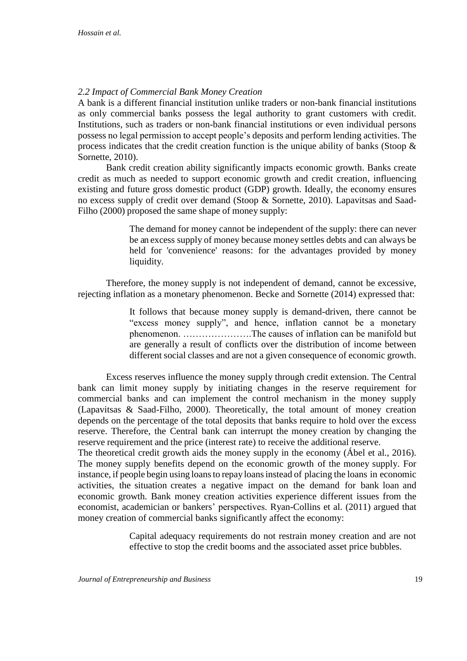# *2.2 Impact of Commercial Bank Money Creation*

A bank is a different financial institution unlike traders or non-bank financial institutions as only commercial banks possess the legal authority to grant customers with credit. Institutions, such as traders or non-bank financial institutions or even individual persons possess no legal permission to accept people's deposits and perform lending activities. The process indicates that the credit creation function is the unique ability of banks (Stoop  $\&$ Sornette, 2010).

Bank credit creation ability significantly impacts economic growth. Banks create credit as much as needed to support economic growth and credit creation, influencing existing and future gross domestic product (GDP) growth. Ideally, the economy ensures no excess supply of credit over demand (Stoop & Sornette, 2010). Lapavitsas and Saad-Filho (2000) proposed the same shape of money supply:

> The demand for money cannot be independent of the supply: there can never be an excess supply of money because money settles debts and can always be held for 'convenience' reasons: for the advantages provided by money liquidity.

Therefore, the money supply is not independent of demand, cannot be excessive, rejecting inflation as a monetary phenomenon. Becke and Sornette (2014) expressed that:

> It follows that because money supply is demand-driven, there cannot be "excess money supply", and hence, inflation cannot be a monetary phenomenon. ………………….The causes of inflation can be manifold but are generally a result of conflicts over the distribution of income between different social classes and are not a given consequence of economic growth.

Excess reserves influence the money supply through credit extension. The Central bank can limit money supply by initiating changes in the reserve requirement for commercial banks and can implement the control mechanism in the money supply (Lapavitsas & Saad-Filho, 2000). Theoretically, the total amount of money creation depends on the percentage of the total deposits that banks require to hold over the excess reserve. Therefore, the Central bank can interrupt the money creation by changing the reserve requirement and the price (interest rate) to receive the additional reserve.

The theoretical credit growth aids the money supply in the economy (Ábel et al., 2016). The money supply benefits depend on the economic growth of the money supply. For instance, if people begin using loans to repay loans instead of placing the loans in economic activities, the situation creates a negative impact on the demand for bank loan and economic growth. Bank money creation activities experience different issues from the economist, academician or bankers' perspectives. Ryan-Collins et al. (2011) argued that money creation of commercial banks significantly affect the economy:

> Capital adequacy requirements do not restrain money creation and are not effective to stop the credit booms and the associated asset price bubbles.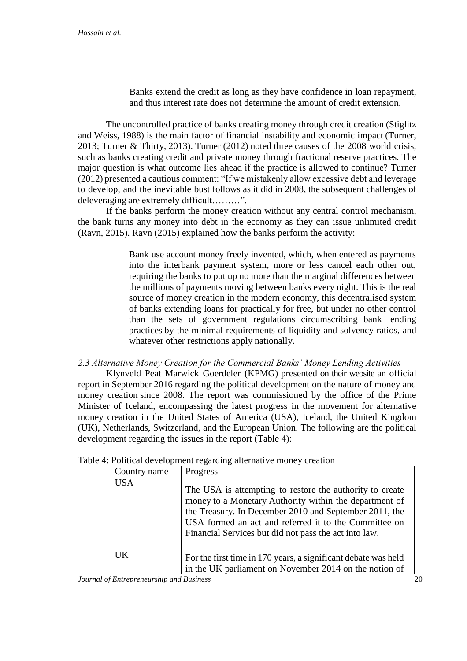Banks extend the credit as long as they have confidence in loan repayment, and thus interest rate does not determine the amount of credit extension.

The uncontrolled practice of banks creating money through credit creation (Stiglitz and Weiss, 1988) is the main factor of financial instability and economic impact (Turner, 2013; Turner & Thirty, 2013). Turner (2012) noted three causes of the 2008 world crisis, such as banks creating credit and private money through fractional reserve practices. The major question is what outcome lies ahead if the practice is allowed to continue? Turner (2012) presented a cautious comment: "If we mistakenly allow excessive debt and leverage to develop, and the inevitable bust follows as it did in 2008, the subsequent challenges of deleveraging are extremely difficult………".

If the banks perform the money creation without any central control mechanism, the bank turns any money into debt in the economy as they can issue unlimited credit (Ravn, 2015). Ravn (2015) explained how the banks perform the activity:

> Bank use account money freely invented, which, when entered as payments into the interbank payment system, more or less cancel each other out, requiring the banks to put up no more than the marginal differences between the millions of payments moving between banks every night. This is the real source of money creation in the modern economy, this decentralised system of banks extending loans for practically for free, but under no other control than the sets of government regulations circumscribing bank lending practices by the minimal requirements of liquidity and solvency ratios, and whatever other restrictions apply nationally.

## *2.3 Alternative Money Creation for the Commercial Banks' Money Lending Activities*

Klynveld Peat Marwick Goerdeler (KPMG) presented on their website an official report in September 2016 regarding the political development on the nature of money and money creation since 2008. The report was commissioned by the office of the Prime Minister of Iceland, encompassing the latest progress in the movement for alternative money creation in the United States of America (USA), Iceland, the United Kingdom (UK), Netherlands, Switzerland, and the European Union. The following are the political development regarding the issues in the report (Table 4):

| Country name | Progress                                                                                                                                                                                                                                                                                       |
|--------------|------------------------------------------------------------------------------------------------------------------------------------------------------------------------------------------------------------------------------------------------------------------------------------------------|
| <b>USA</b>   | The USA is attempting to restore the authority to create<br>money to a Monetary Authority within the department of<br>the Treasury. In December 2010 and September 2011, the<br>USA formed an act and referred it to the Committee on<br>Financial Services but did not pass the act into law. |
| UK.          | For the first time in 170 years, a significant debate was held<br>in the UK parliament on November 2014 on the notion of                                                                                                                                                                       |

Table 4: Political development regarding alternative money creation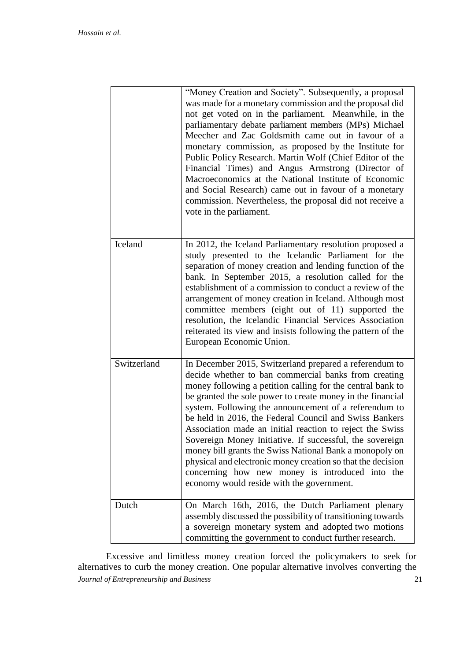|             | "Money Creation and Society". Subsequently, a proposal<br>was made for a monetary commission and the proposal did<br>not get voted on in the parliament. Meanwhile, in the<br>parliamentary debate parliament members (MPs) Michael<br>Meecher and Zac Goldsmith came out in favour of a<br>monetary commission, as proposed by the Institute for<br>Public Policy Research. Martin Wolf (Chief Editor of the<br>Financial Times) and Angus Armstrong (Director of<br>Macroeconomics at the National Institute of Economic<br>and Social Research) came out in favour of a monetary<br>commission. Nevertheless, the proposal did not receive a<br>vote in the parliament.                                      |
|-------------|-----------------------------------------------------------------------------------------------------------------------------------------------------------------------------------------------------------------------------------------------------------------------------------------------------------------------------------------------------------------------------------------------------------------------------------------------------------------------------------------------------------------------------------------------------------------------------------------------------------------------------------------------------------------------------------------------------------------|
| Iceland     | In 2012, the Iceland Parliamentary resolution proposed a<br>study presented to the Icelandic Parliament for the<br>separation of money creation and lending function of the<br>bank. In September 2015, a resolution called for the<br>establishment of a commission to conduct a review of the<br>arrangement of money creation in Iceland. Although most<br>committee members (eight out of 11) supported the<br>resolution, the Icelandic Financial Services Association<br>reiterated its view and insists following the pattern of the<br>European Economic Union.                                                                                                                                         |
| Switzerland | In December 2015, Switzerland prepared a referendum to<br>decide whether to ban commercial banks from creating<br>money following a petition calling for the central bank to<br>be granted the sole power to create money in the financial<br>system. Following the announcement of a referendum to<br>be held in 2016, the Federal Council and Swiss Bankers<br>Association made an initial reaction to reject the Swiss<br>Sovereign Money Initiative. If successful, the sovereign<br>money bill grants the Swiss National Bank a monopoly on<br>physical and electronic money creation so that the decision<br>concerning how new money is introduced into the<br>economy would reside with the government. |
| Dutch       | On March 16th, 2016, the Dutch Parliament plenary<br>assembly discussed the possibility of transitioning towards<br>a sovereign monetary system and adopted two motions<br>committing the government to conduct further research.                                                                                                                                                                                                                                                                                                                                                                                                                                                                               |

*Journal of Entrepreneurship and Business* 21 Excessive and limitless money creation forced the policymakers to seek for alternatives to curb the money creation. One popular alternative involves converting the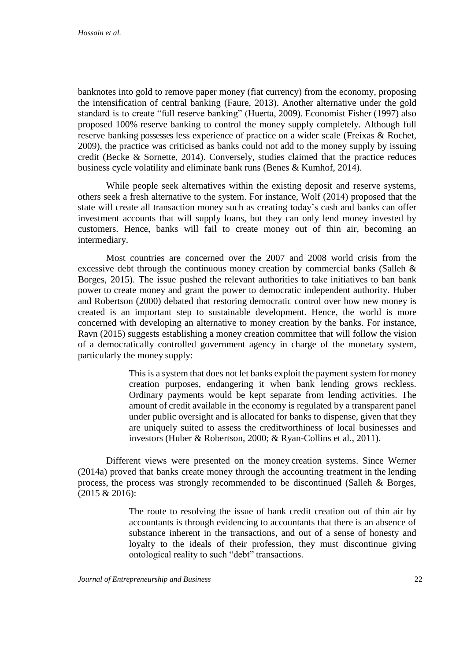banknotes into gold to remove paper money (fiat currency) from the economy, proposing the intensification of central banking (Faure, 2013). Another alternative under the gold standard is to create "full reserve banking" (Huerta, 2009). Economist Fisher (1997) also proposed 100% reserve banking to control the money supply completely. Although full reserve banking possesses less experience of practice on a wider scale (Freixas & Rochet, 2009), the practice was criticised as banks could not add to the money supply by issuing credit (Becke & Sornette, 2014). Conversely, studies claimed that the practice reduces business cycle volatility and eliminate bank runs (Benes & Kumhof, 2014).

While people seek alternatives within the existing deposit and reserve systems, others seek a fresh alternative to the system. For instance, Wolf (2014) proposed that the state will create all transaction money such as creating today's cash and banks can offer investment accounts that will supply loans, but they can only lend money invested by customers. Hence, banks will fail to create money out of thin air, becoming an intermediary.

Most countries are concerned over the 2007 and 2008 world crisis from the excessive debt through the continuous money creation by commercial banks (Salleh & Borges, 2015). The issue pushed the relevant authorities to take initiatives to ban bank power to create money and grant the power to democratic independent authority. Huber and Robertson (2000) debated that restoring democratic control over how new money is created is an important step to sustainable development. Hence, the world is more concerned with developing an alternative to money creation by the banks. For instance, Ravn (2015) suggests establishing a money creation committee that will follow the vision of a democratically controlled government agency in charge of the monetary system, particularly the money supply:

> This is a system that does not let banks exploit the payment system for money creation purposes, endangering it when bank lending grows reckless. Ordinary payments would be kept separate from lending activities. The amount of credit available in the economy is regulated by a transparent panel under public oversight and is allocated for banks to dispense, given that they are uniquely suited to assess the creditworthiness of local businesses and investors (Huber & Robertson, 2000; & Ryan-Collins et al., 2011).

Different views were presented on the money creation systems. Since Werner (2014a) proved that banks create money through the accounting treatment in the lending process, the process was strongly recommended to be discontinued (Salleh & Borges, (2015 & 2016):

> The route to resolving the issue of bank credit creation out of thin air by accountants is through evidencing to accountants that there is an absence of substance inherent in the transactions, and out of a sense of honesty and loyalty to the ideals of their profession, they must discontinue giving ontological reality to such "debt" transactions.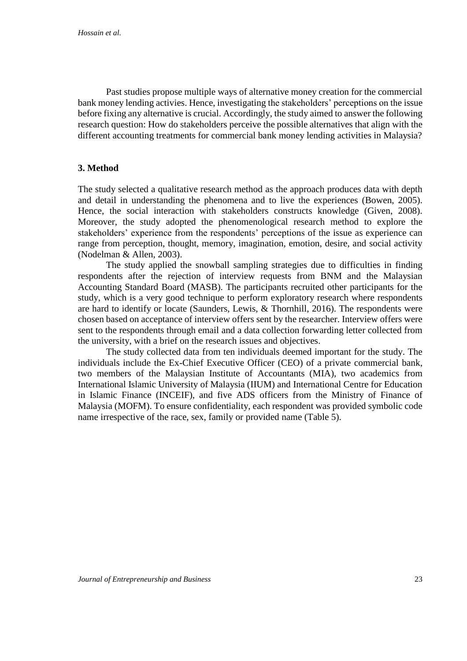Past studies propose multiple ways of alternative money creation for the commercial bank money lending activies. Hence, investigating the stakeholders' perceptions on the issue before fixing any alternative is crucial. Accordingly, the study aimed to answer the following research question: How do stakeholders perceive the possible alternatives that align with the different accounting treatments for commercial bank money lending activities in Malaysia?

# **3. Method**

The study selected a qualitative research method as the approach produces data with depth and detail in understanding the phenomena and to live the experiences (Bowen, 2005). Hence, the social interaction with stakeholders constructs knowledge (Given, 2008). Moreover, the study adopted the phenomenological research method to explore the stakeholders' experience from the respondents' perceptions of the issue as experience can range from perception, thought, memory, imagination, emotion, desire, and social activity (Nodelman & Allen, 2003).

The study applied the snowball sampling strategies due to difficulties in finding respondents after the rejection of interview requests from BNM and the Malaysian Accounting Standard Board (MASB). The participants recruited other participants for the study, which is a very good technique to perform exploratory research where respondents are hard to identify or locate (Saunders, Lewis, & Thornhill, 2016). The respondents were chosen based on acceptance of interview offers sent by the researcher. Interview offers were sent to the respondents through email and a data collection forwarding letter collected from the university, with a brief on the research issues and objectives.

The study collected data from ten individuals deemed important for the study. The individuals include the Ex-Chief Executive Officer (CEO) of a private commercial bank, two members of the Malaysian Institute of Accountants (MIA), two academics from International Islamic University of Malaysia (IIUM) and International Centre for Education in Islamic Finance (INCEIF), and five ADS officers from the Ministry of Finance of Malaysia (MOFM). To ensure confidentiality, each respondent was provided symbolic code name irrespective of the race, sex, family or provided name (Table 5).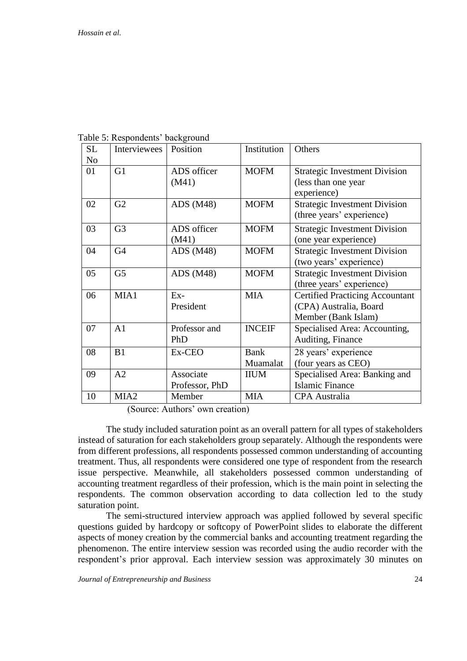| <b>SL</b> | Interviewees     | Position       | Institution   | Others                                 |
|-----------|------------------|----------------|---------------|----------------------------------------|
| No        |                  |                |               |                                        |
| 01        | G1               | ADS officer    | <b>MOFM</b>   | <b>Strategic Investment Division</b>   |
|           |                  | (M41)          |               | (less than one year                    |
|           |                  |                |               | experience)                            |
| 02        | G2               | ADS $(M48)$    | <b>MOFM</b>   | <b>Strategic Investment Division</b>   |
|           |                  |                |               | (three years' experience)              |
| 03        | G <sub>3</sub>   | ADS officer    | <b>MOFM</b>   | <b>Strategic Investment Division</b>   |
|           |                  | (M41)          |               | (one year experience)                  |
| 04        | G <sub>4</sub>   | ADS $(M48)$    | <b>MOFM</b>   | <b>Strategic Investment Division</b>   |
|           |                  |                |               | (two years' experience)                |
| 05        | G <sub>5</sub>   | ADS $(M48)$    | <b>MOFM</b>   | <b>Strategic Investment Division</b>   |
|           |                  |                |               | (three years' experience)              |
| 06        | MIA1             | $Ex-$          | <b>MIA</b>    | <b>Certified Practicing Accountant</b> |
|           |                  | President      |               | (CPA) Australia, Board                 |
|           |                  |                |               | Member (Bank Islam)                    |
| 07        | A <sub>1</sub>   | Professor and  | <b>INCEIF</b> | Specialised Area: Accounting,          |
|           |                  | PhD            |               | Auditing, Finance                      |
| 08        | B1               | Ex-CEO         | <b>Bank</b>   | 28 years' experience                   |
|           |                  |                | Muamalat      | (four years as CEO)                    |
| 09        | A2               | Associate      | <b>IIUM</b>   | Specialised Area: Banking and          |
|           |                  | Professor, PhD |               | <b>Islamic Finance</b>                 |
| 10        | MIA <sub>2</sub> | Member         | <b>MIA</b>    | <b>CPA</b> Australia                   |

Table 5: Respondents' background

(Source: Authors' own creation)

The study included saturation point as an overall pattern for all types of stakeholders instead of saturation for each stakeholders group separately. Although the respondents were from different professions, all respondents possessed common understanding of accounting treatment. Thus, all respondents were considered one type of respondent from the research issue perspective. Meanwhile, all stakeholders possessed common understanding of accounting treatment regardless of their profession, which is the main point in selecting the respondents. The common observation according to data collection led to the study saturation point.

The semi-structured interview approach was applied followed by several specific questions guided by hardcopy or softcopy of PowerPoint slides to elaborate the different aspects of money creation by the commercial banks and accounting treatment regarding the phenomenon. The entire interview session was recorded using the audio recorder with the respondent's prior approval. Each interview session was approximately 30 minutes on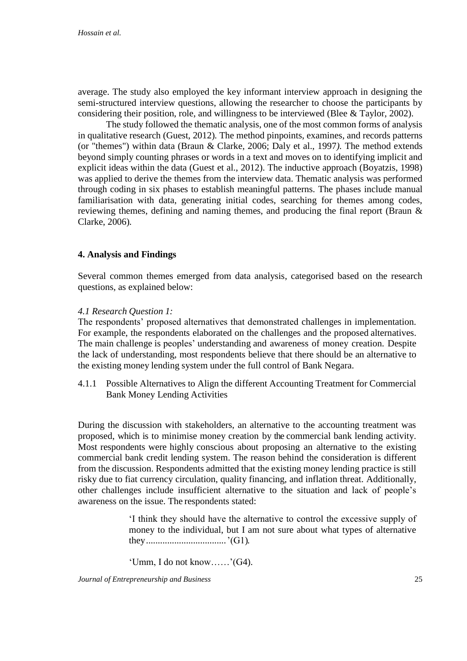average. The study also employed the key informant interview approach in designing the semi-structured interview questions, allowing the researcher to choose the participants by considering their position, role, and willingness to be interviewed (Blee & Taylor, 2002).

The study followed the thematic analysis, one of the most common forms of analysis in qualitative research (Guest, 2012)*.* The method pinpoints, examines, and records patterns (or "themes") within data (Braun & Clarke, 2006; Daly et al., 1997*).* The method extends beyond simply counting phrases or words in a text and moves on to identifying implicit and explicit ideas within the data (Guest et al., 2012). The inductive approach (Boyatzis, 1998) was applied to derive the themes from the interview data. Thematic analysis was performed through coding in six phases to establish meaningful patterns. The phases include manual familiarisation with data, generating initial codes, searching for themes among codes, reviewing themes, defining and naming themes, and producing the final report (Braun & Clarke, 2006)*.* 

## **4. Analysis and Findings**

Several common themes emerged from data analysis, categorised based on the research questions, as explained below:

## *4.1 Research Question 1:*

The respondents' proposed alternatives that demonstrated challenges in implementation. For example, the respondents elaborated on the challenges and the proposed alternatives. The main challenge is peoples' understanding and awareness of money creation. Despite the lack of understanding, most respondents believe that there should be an alternative to the existing money lending system under the full control of Bank Negara.

4.1.1 Possible Alternatives to Align the different Accounting Treatment for Commercial Bank Money Lending Activities

During the discussion with stakeholders, an alternative to the accounting treatment was proposed, which is to minimise money creation by the commercial bank lending activity. Most respondents were highly conscious about proposing an alternative to the existing commercial bank credit lending system. The reason behind the consideration is different from the discussion. Respondents admitted that the existing money lending practice is still risky due to fiat currency circulation, quality financing, and inflation threat. Additionally, other challenges include insufficient alternative to the situation and lack of people's awareness on the issue. The respondents stated:

> 'I think they should have the alternative to control the excessive supply of money to the individual, but I am not sure about what types of alternative they..................................'(G1).

'Umm, I do not know……'(G4).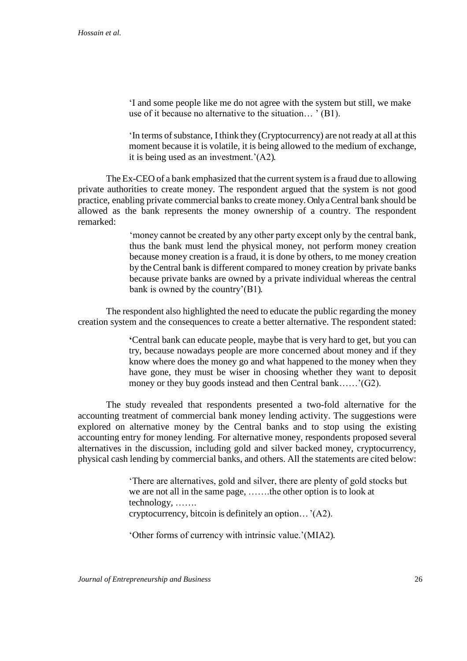'I and some people like me do not agree with the system but still, we make use of it because no alternative to the situation… ' (B1).

'In terms of substance, I think they (Cryptocurrency) are not ready at all at this moment because it is volatile, it is being allowed to the medium of exchange, it is being used as an investment.'(A2).

The Ex-CEO of a bank emphasized that the current system is a fraud due to allowing private authorities to create money. The respondent argued that the system is not good practice, enabling private commercial banksto create money. Only a Central bank should be allowed as the bank represents the money ownership of a country. The respondent remarked:

> 'money cannot be created by any other party except only by the central bank, thus the bank must lend the physical money, not perform money creation because money creation is a fraud, it is done by others, to me money creation by the Central bank is different compared to money creation by private banks because private banks are owned by a private individual whereas the central bank is owned by the country'(B1).

The respondent also highlighted the need to educate the public regarding the money creation system and the consequences to create a better alternative. The respondent stated:

> **'**Central bank can educate people, maybe that is very hard to get, but you can try, because nowadays people are more concerned about money and if they know where does the money go and what happened to the money when they have gone, they must be wiser in choosing whether they want to deposit money or they buy goods instead and then Central bank……'(G2).

The study revealed that respondents presented a two-fold alternative for the accounting treatment of commercial bank money lending activity. The suggestions were explored on alternative money by the Central banks and to stop using the existing accounting entry for money lending. For alternative money, respondents proposed several alternatives in the discussion, including gold and silver backed money, cryptocurrency, physical cash lending by commercial banks, and others. All the statements are cited below:

> 'There are alternatives, gold and silver, there are plenty of gold stocks but we are not all in the same page, …….the other option is to look at technology, ……. cryptocurrency, bitcoin is definitely an option…'(A2).

'Other forms of currency with intrinsic value.'(MIA2).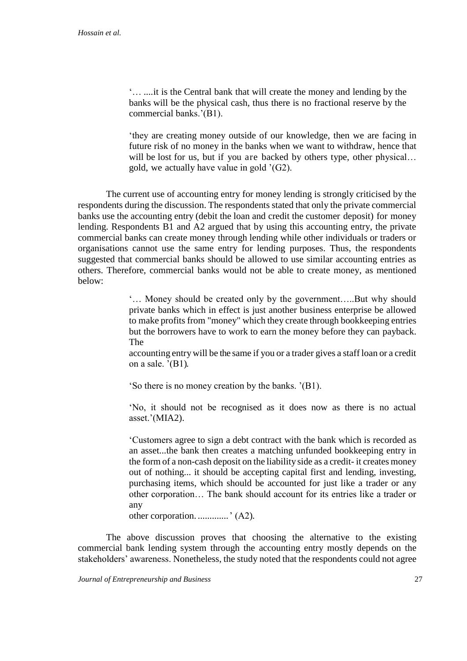'… ....it is the Central bank that will create the money and lending by the banks will be the physical cash, thus there is no fractional reserve by the commercial banks.'(B1).

'they are creating money outside of our knowledge, then we are facing in future risk of no money in the banks when we want to withdraw, hence that will be lost for us, but if you are backed by others type, other physical... gold, we actually have value in gold '(G2).

The current use of accounting entry for money lending is strongly criticised by the respondents during the discussion. The respondents stated that only the private commercial banks use the accounting entry (debit the loan and credit the customer deposit) for money lending. Respondents B1 and A2 argued that by using this accounting entry, the private commercial banks can create money through lending while other individuals or traders or organisations cannot use the same entry for lending purposes. Thus, the respondents suggested that commercial banks should be allowed to use similar accounting entries as others. Therefore, commercial banks would not be able to create money, as mentioned below:

> '… Money should be created only by the government…..But why should private banks which in effect is just another business enterprise be allowed to make profits from "money" which they create through bookkeeping entries but the borrowers have to work to earn the money before they can payback. The

> accounting entry will be the same if you or a trader gives a staff loan or a credit on a sale.  $'(B1)$ .

'So there is no money creation by the banks. '(B1).

'No, it should not be recognised as it does now as there is no actual asset.'(MIA2).

'Customers agree to sign a debt contract with the bank which is recorded as an asset...the bank then creates a matching unfunded bookkeeping entry in the form of a non-cash deposit on the liability side as a credit- it creates money out of nothing... it should be accepting capital first and lending, investing, purchasing items, which should be accounted for just like a trader or any other corporation… The bank should account for its entries like a trader or any

other corporation. .............' (A2).

The above discussion proves that choosing the alternative to the existing commercial bank lending system through the accounting entry mostly depends on the stakeholders' awareness. Nonetheless, the study noted that the respondents could not agree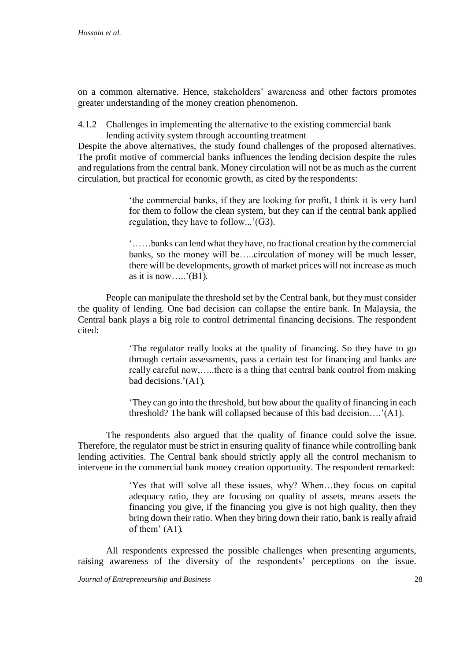on a common alternative. Hence, stakeholders' awareness and other factors promotes greater understanding of the money creation phenomenon.

4.1.2 Challenges in implementing the alternative to the existing commercial bank lending activity system through accounting treatment

Despite the above alternatives, the study found challenges of the proposed alternatives. The profit motive of commercial banks influences the lending decision despite the rules and regulationsfrom the central bank. Money circulation will not be as much as the current circulation, but practical for economic growth, as cited by the respondents:

> 'the commercial banks, if they are looking for profit, I think it is very hard for them to follow the clean system, but they can if the central bank applied regulation, they have to follow...'(G3).

> '……banks can lend what they have, no fractional creation by the commercial banks, so the money will be…..circulation of money will be much lesser, there will be developments, growth of market prices will not increase as much as it is now.....'(B1).

People can manipulate the threshold set by the Central bank, but they must consider the quality of lending. One bad decision can collapse the entire bank. In Malaysia, the Central bank plays a big role to control detrimental financing decisions. The respondent cited:

> 'The regulator really looks at the quality of financing. So they have to go through certain assessments, pass a certain test for financing and banks are really careful now,…..there is a thing that central bank control from making bad decisions.'(A1).

> 'They can go into the threshold, but how about the quality of financing in each threshold? The bank will collapsed because of this bad decision….'(A1).

The respondents also argued that the quality of finance could solve the issue. Therefore, the regulator must be strict in ensuring quality of finance while controlling bank lending activities. The Central bank should strictly apply all the control mechanism to intervene in the commercial bank money creation opportunity. The respondent remarked:

> 'Yes that will solve all these issues, why? When…they focus on capital adequacy ratio, they are focusing on quality of assets, means assets the financing you give, if the financing you give is not high quality, then they bring down their ratio. When they bring down their ratio, bank is really afraid of them' (A1).

All respondents expressed the possible challenges when presenting arguments, raising awareness of the diversity of the respondents' perceptions on the issue.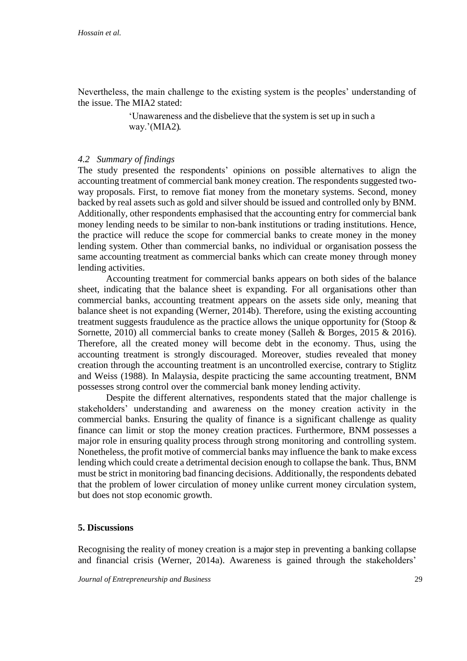Nevertheless, the main challenge to the existing system is the peoples' understanding of the issue. The MIA2 stated:

> 'Unawareness and the disbelieve that the system is set up in such a way.'(MIA2).

## *4.2 Summary of findings*

The study presented the respondents' opinions on possible alternatives to align the accounting treatment of commercial bank money creation. The respondents suggested twoway proposals. First, to remove fiat money from the monetary systems. Second, money backed by real assets such as gold and silver should be issued and controlled only by BNM. Additionally, other respondents emphasised that the accounting entry for commercial bank money lending needs to be similar to non-bank institutions or trading institutions. Hence, the practice will reduce the scope for commercial banks to create money in the money lending system. Other than commercial banks, no individual or organisation possess the same accounting treatment as commercial banks which can create money through money lending activities.

Accounting treatment for commercial banks appears on both sides of the balance sheet, indicating that the balance sheet is expanding. For all organisations other than commercial banks, accounting treatment appears on the assets side only, meaning that balance sheet is not expanding (Werner, 2014b). Therefore, using the existing accounting treatment suggests fraudulence as the practice allows the unique opportunity for (Stoop & Sornette, 2010) all commercial banks to create money (Salleh & Borges, 2015 & 2016). Therefore, all the created money will become debt in the economy. Thus, using the accounting treatment is strongly discouraged. Moreover, studies revealed that money creation through the accounting treatment is an uncontrolled exercise, contrary to Stiglitz and Weiss (1988). In Malaysia, despite practicing the same accounting treatment, BNM possesses strong control over the commercial bank money lending activity.

Despite the different alternatives, respondents stated that the major challenge is stakeholders' understanding and awareness on the money creation activity in the commercial banks. Ensuring the quality of finance is a significant challenge as quality finance can limit or stop the money creation practices. Furthermore, BNM possesses a major role in ensuring quality process through strong monitoring and controlling system. Nonetheless, the profit motive of commercial banks may influence the bank to make excess lending which could create a detrimental decision enough to collapse the bank. Thus, BNM must be strict in monitoring bad financing decisions. Additionally, the respondents debated that the problem of lower circulation of money unlike current money circulation system, but does not stop economic growth.

# **5. Discussions**

Recognising the reality of money creation is a major step in preventing a banking collapse and financial crisis (Werner, 2014a). Awareness is gained through the stakeholders'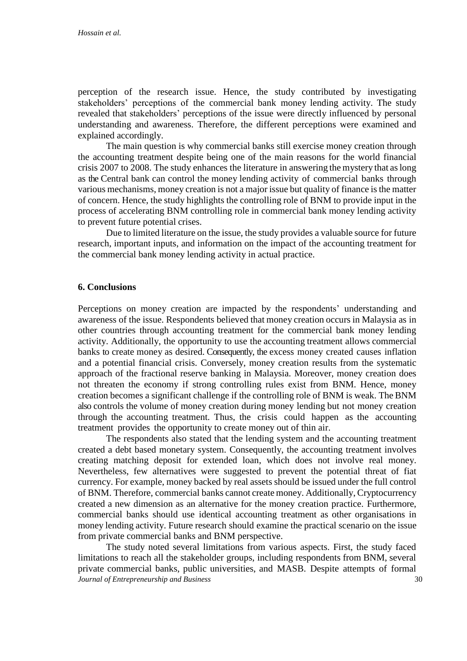perception of the research issue. Hence, the study contributed by investigating stakeholders' perceptions of the commercial bank money lending activity. The study revealed that stakeholders' perceptions of the issue were directly influenced by personal understanding and awareness. Therefore, the different perceptions were examined and explained accordingly.

The main question is why commercial banks still exercise money creation through the accounting treatment despite being one of the main reasons for the world financial crisis 2007 to 2008. The study enhances the literature in answering the mystery that aslong as the Central bank can control the money lending activity of commercial banks through various mechanisms, money creation is not a major issue but quality of finance is the matter of concern. Hence, the study highlights the controlling role of BNM to provide input in the process of accelerating BNM controlling role in commercial bank money lending activity to prevent future potential crises.

Due to limited literature on the issue, the study provides a valuable source for future research, important inputs, and information on the impact of the accounting treatment for the commercial bank money lending activity in actual practice.

## **6. Conclusions**

Perceptions on money creation are impacted by the respondents' understanding and awareness of the issue. Respondents believed that money creation occurs in Malaysia as in other countries through accounting treatment for the commercial bank money lending activity. Additionally, the opportunity to use the accounting treatment allows commercial banks to create money as desired. Consequently, the excess money created causes inflation and a potential financial crisis. Conversely, money creation results from the systematic approach of the fractional reserve banking in Malaysia. Moreover, money creation does not threaten the economy if strong controlling rules exist from BNM. Hence, money creation becomes a significant challenge if the controlling role of BNM is weak. The BNM also controls the volume of money creation during money lending but not money creation through the accounting treatment. Thus, the crisis could happen as the accounting treatment provides the opportunity to create money out of thin air.

The respondents also stated that the lending system and the accounting treatment created a debt based monetary system. Consequently, the accounting treatment involves creating matching deposit for extended loan, which does not involve real money. Nevertheless, few alternatives were suggested to prevent the potential threat of fiat currency. For example, money backed by real assets should be issued under the full control of BNM. Therefore, commercial banks cannot create money. Additionally, Cryptocurrency created a new dimension as an alternative for the money creation practice. Furthermore, commercial banks should use identical accounting treatment as other organisations in money lending activity. Future research should examine the practical scenario on the issue from private commercial banks and BNM perspective.

*Journal of Entrepreneurship and Business* 30 The study noted several limitations from various aspects. First, the study faced limitations to reach all the stakeholder groups, including respondents from BNM, several private commercial banks, public universities, and MASB. Despite attempts of formal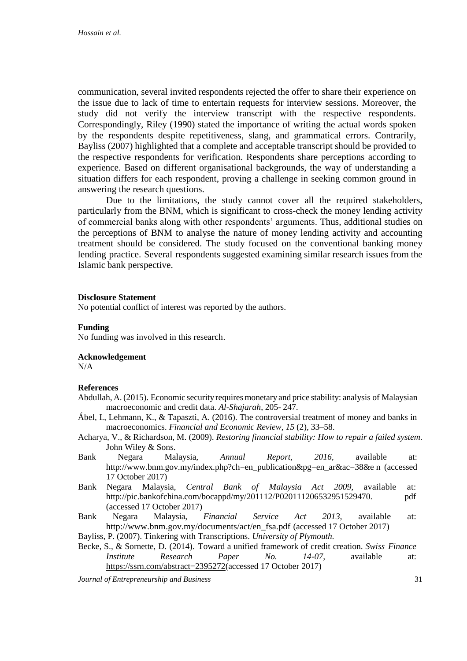communication, several invited respondents rejected the offer to share their experience on the issue due to lack of time to entertain requests for interview sessions. Moreover, the study did not verify the interview transcript with the respective respondents. Correspondingly, Riley (1990) stated the importance of writing the actual words spoken by the respondents despite repetitiveness, slang, and grammatical errors. Contrarily, Bayliss (2007) highlighted that a complete and acceptable transcript should be provided to the respective respondents for verification. Respondents share perceptions according to experience. Based on different organisational backgrounds, the way of understanding a situation differs for each respondent, proving a challenge in seeking common ground in answering the research questions.

Due to the limitations, the study cannot cover all the required stakeholders, particularly from the BNM, which is significant to cross-check the money lending activity of commercial banks along with other respondents' arguments. Thus, additional studies on the perceptions of BNM to analyse the nature of money lending activity and accounting treatment should be considered. The study focused on the conventional banking money lending practice. Several respondents suggested examining similar research issues from the Islamic bank perspective.

#### **Disclosure Statement**

No potential conflict of interest was reported by the authors.

## **Funding**

No funding was involved in this research.

## **Acknowledgement**

N/A

## **References**

- Abdullah, A.(2015). Economic security requires monetary and price stability: analysis of Malaysian macroeconomic and credit data. *Al-Shajarah*, 205- 247.
- Ábel, I., Lehmann, K., & Tapaszti, A. (2016). The controversial treatment of money and banks in macroeconomics. *Financial and Economic Review*, *15* (2), 33–58.
- Acharya, V., & Richardson, M. (2009). *Restoring financial stability: How to repair a failed system.*  John Wiley & Sons.
- Bank Negara Malaysia, *Annual Report, 2016,* available at: [http://www.bnm.gov.my/index.php?ch=en\\_publication&pg=en\\_ar&ac=38&e](http://www.bnm.gov.my/index.php?ch=en_publication&pg=en_ar&ac=38&e) n (accessed 17 October 2017)
- Bank Negara Malaysia, *Central Bank of Malaysia Act 2009,* available at: [http://pic.bankofchina.com/bocappd/my/201112/P020111206532951529470.](http://pic.bankofchina.com/bocappd/my/201112/P020111206532951529470) pdf (accessed 17 October 2017)

Bank Negara Malaysia, *Financial Service Act 2013,* available at[:](http://www.bnm.gov.my/documents/act/en_fsa.pdf) [http://www.bnm.gov.my/documents/act/en\\_fsa.pdf](http://www.bnm.gov.my/documents/act/en_fsa.pdf) (accessed 17 October 2017)

Bayliss, P. (2007). Tinkering with Transcriptions. *University of Plymouth.*

Becke, S., & Sornette, D. (2014). Toward a unified framework of credit creation. *Swiss Finance Institute Research Paper No. 14-07,* available at: [https://ssrn.com/abstract=2395272\(](https://ssrn.com/abstract=2395272)accessed 17 October 2017)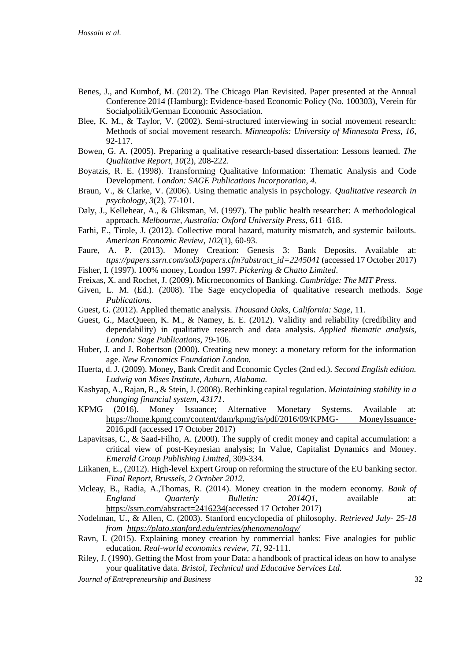- Benes, J., and Kumhof, M. (2012). The Chicago Plan Revisited. Paper presented at the Annual Conference 2014 (Hamburg): Evidence-based Economic Policy (No. 100303), Verein für Socialpolitik/German Economic Association.
- Blee, K. M., & Taylor, V. (2002). Semi-structured interviewing in social movement research: Methods of social movement research. *Minneapolis: University of Minnesota Press, 16*, 92-117.
- Bowen, G. A. (2005). Preparing a qualitative research-based dissertation: Lessons learned. *The Qualitative Report*, *10*(2), 208-222.
- Boyatzis, R. E. (1998). Transforming Qualitative Information: Thematic Analysis and Code Development. *London: SAGE Publications Incorporation*, *4*.
- Braun, V., & Clarke, V. (2006). Using thematic analysis in psychology. *Qualitative research in psychology*, *3*(2), 77-101.
- Daly, J., Kellehear, A., & Gliksman, M. (1997). The public health researcher: A methodological approach. *Melbourne, Australia: Oxford University Press*, 611–618.
- Farhi, E., Tirole, J. (2012). Collective moral hazard, maturity mismatch, and systemic bailouts. *American Economic Review*, *102*(1), 60-93.
- Faure, A. P. (2013). Money Creation: Genesis 3: Bank Deposits. Available at: *ttps://papers.ssrn.com/sol3/papers.cfm?abstract\_id=2245041* (accessed 17 October 2017)
- Fisher, I. (1997). 100% money, London 1997. *Pickering & Chatto Limited*.
- Freixas, X. and Rochet, J. (2009). Microeconomics of Banking. *Cambridge: The MIT Press.*
- Given, L. M. (Ed.). (2008). The Sage encyclopedia of qualitative research methods. *Sage Publications.*
- Guest, G. (2012). Applied thematic analysis. *Thousand Oaks, California: Sage,* 11.
- Guest, G., MacQueen, K. M., & Namey, E. E. (2012). Validity and reliability (credibility and dependability) in qualitative research and data analysis. *Applied thematic analysis, London: Sage Publications*, 79-106.
- Huber, J. and J. Robertson (2000). Creating new money: a monetary reform for the information age. *New Economics Foundation London.*
- Huerta, d. J. (2009). Money, Bank Credit and Economic Cycles (2nd ed.). *Second English edition. Ludwig von Mises Institute, Auburn, Alabama.*
- Kashyap, A., Rajan, R., & Stein,J. (2008). Rethinking capital regulation. *Maintaining stability in a changing financial system*, *43171*.
- KPMG (2016). Money Issuance; Alternative Monetary Systems. Available at: [https://home.kpmg.com/content/dam/kpmg/is/pdf/2016/09/KPMG-](https://home.kpmg.com/content/dam/kpmg/is/pdf/2016/09/KPMG-%20MoneyIssuance-2016.pdf) MoneyIssuance-[2016.pdf](https://home.kpmg.com/content/dam/kpmg/is/pdf/2016/09/KPMG-%20MoneyIssuance-2016.pdf) (accessed 17 October 2017)
- Lapavitsas, C., & Saad-Filho, A. (2000). The supply of credit money and capital accumulation: a critical view of post-Keynesian analysis; In Value, Capitalist Dynamics and Money. *Emerald Group Publishing Limited*, 309-334.
- Liikanen, E., (2012). High-level Expert Group on reforming the structure of the EU banking sector. *Final Report, Brussels, 2 October 2012.*
- Mcleay, B., Radia, A.,Thomas, R. (2014). Money creation in the modern economy. *Bank of England Quarterly Bulletin: 2014Q1,* available at: [https://ssrn.com/abstract=2416234\(](https://ssrn.com/abstract=2416234)accessed 17 October 2017)
- Nodelman, U., & Allen, C. (2003). Stanford encyclopedia of philosophy. *Retrieved July- 25-18 from <https://plato.stanford.edu/entries/phenomenology/>*
- Ravn, I. (2015). Explaining money creation by commercial banks: Five analogies for public education. *Real-world economics review*, *71*, 92-111.
- Riley, J. (1990). Getting the Most from your Data: a handbook of practical ideas on how to analyse your qualitative data. *Bristol, Technical and Educative Services Ltd.*
- *Journal of Entrepreneurship and Business* 32